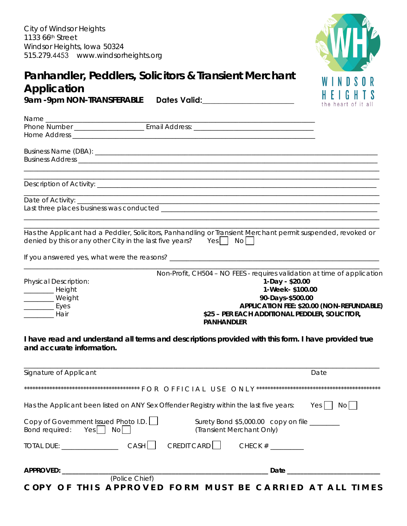

| Application                                                                                                               | Panhandler, Peddlers, Solicitors & Transient Merchant                                                                                                                                                      | the heart of it all                       |
|---------------------------------------------------------------------------------------------------------------------------|------------------------------------------------------------------------------------------------------------------------------------------------------------------------------------------------------------|-------------------------------------------|
|                                                                                                                           |                                                                                                                                                                                                            |                                           |
|                                                                                                                           |                                                                                                                                                                                                            |                                           |
|                                                                                                                           |                                                                                                                                                                                                            |                                           |
|                                                                                                                           |                                                                                                                                                                                                            |                                           |
| denied by this or any other City in the last five years? Yes $\begin{bmatrix} 1 & \text{No} \end{bmatrix}$                | Has the Applicant had a Peddler, Solicitors, Panhandling or Transient Merchant permit suspended, revoked or                                                                                                |                                           |
| <b>Physical Description:</b><br>_____________ Height<br>_________ Weight<br>$\frac{1}{2}$ Eyes<br><b>___________</b> Hair | Non-Profit, CH504 - NO FEES - requires validation at time of application<br>1-Day - \$20.00<br>1-Week- \$100.00<br>90-Days-\$500.00<br>\$25 - PER EACH ADDITIONAL PEDDLER, SOLICITOR,<br><b>PANHANDLER</b> | APPLICATION FEE: \$20.00 (NON-REFUNDABLE) |
| and accurate information.                                                                                                 | I have read and understand all terms and descriptions provided with this form. I have provided true                                                                                                        |                                           |
| Signature of Applicant                                                                                                    |                                                                                                                                                                                                            | Date                                      |
|                                                                                                                           |                                                                                                                                                                                                            |                                           |
|                                                                                                                           | Has the Applicant been listed on ANY Sex Offender Registry within the last five years:                                                                                                                     | No<br>Yes                                 |
| Copy of Government Issued Photo I.D.<br>Bond required:<br>Yes    <br>No                                                   | Surety Bond \$5,000.00 copy on file _______<br>(Transient Merchant Only)                                                                                                                                   |                                           |
| <b>CASH</b><br>TOTAL DUE:                                                                                                 | CREDIT CARD<br>CHECK $#$                                                                                                                                                                                   |                                           |

| <b>APPROVED:</b> |                                                         |  | Date |  |
|------------------|---------------------------------------------------------|--|------|--|
|                  | (Police Chief)                                          |  |      |  |
|                  | COPY OF THIS APPROVED FORM MUST BE CARRIED AT ALL TIMES |  |      |  |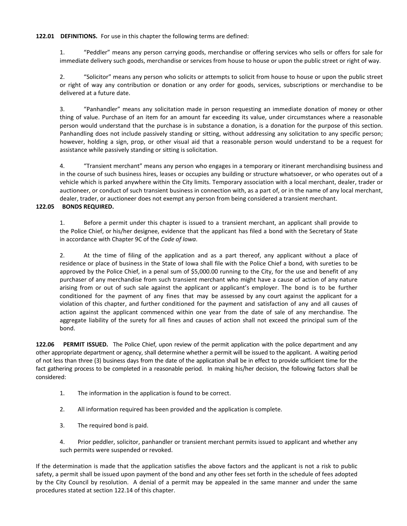**122.01 DEFINITIONS.** For use in this chapter the following terms are defined:

1. "Peddler" means any person carrying goods, merchandise or offering services who sells or offers for sale for immediate delivery such goods, merchandise or services from house to house or upon the public street or right of way.

2. "Solicitor" means any person who solicits or attempts to solicit from house to house or upon the public street or right of way any contribution or donation or any order for goods, services, subscriptions or merchandise to be delivered at a future date.

3. "Panhandler" means any solicitation made in person requesting an immediate donation of money or other thing of value. Purchase of an item for an amount far exceeding its value, under circumstances where a reasonable person would understand that the purchase is in substance a donation, is a donation for the purpose of this section. Panhandling does not include passively standing or sitting, without addressing any solicitation to any specific person; however, holding a sign, prop, or other visual aid that a reasonable person would understand to be a request for assistance while passively standing or sitting is solicitation.

4. "Transient merchant" means any person who engages in a temporary or itinerant merchandising business and in the course of such business hires, leases or occupies any building or structure whatsoever, or who operates out of a vehicle which is parked anywhere within the City limits. Temporary association with a local merchant, dealer, trader or auctioneer, or conduct of such transient business in connection with, as a part of, or in the name of any local merchant, dealer, trader, or auctioneer does not exempt any person from being considered a transient merchant.

## **122.05 BONDS REQUIRED.**

1. Before a permit under this chapter is issued to a transient merchant, an applicant shall provide to the Police Chief, or his/her designee, evidence that the applicant has filed a bond with the Secretary of State in accordance with Chapter 9C of the *Code of Iowa*.

2. At the time of filing of the application and as a part thereof, any applicant without a place of residence or place of business in the State of Iowa shall file with the Police Chief a bond, with sureties to be approved by the Police Chief, in a penal sum of \$5,000.00 running to the City, for the use and benefit of any purchaser of any merchandise from such transient merchant who might have a cause of action of any nature arising from or out of such sale against the applicant or applicant's employer. The bond is to be further conditioned for the payment of any fines that may be assessed by any court against the applicant for a violation of this chapter, and further conditioned for the payment and satisfaction of any and all causes of action against the applicant commenced within one year from the date of sale of any merchandise. The aggregate liability of the surety for all fines and causes of action shall not exceed the principal sum of the bond.

**122.06 PERMIT ISSUED.** The Police Chief, upon review of the permit application with the police department and any other appropriate department or agency, shall determine whether a permit will be issued to the applicant. A waiting period of not less than three (3) business days from the date of the application shall be in effect to provide sufficient time for the fact gathering process to be completed in a reasonable period. In making his/her decision, the following factors shall be considered:

- 1. The information in the application is found to be correct.
- 2. All information required has been provided and the application is complete.
- 3. The required bond is paid.
- 4. Prior peddler, solicitor, panhandler or transient merchant permits issued to applicant and whether any such permits were suspended or revoked.

If the determination is made that the application satisfies the above factors and the applicant is not a risk to public safety, a permit shall be issued upon payment of the bond and any other fees set forth in the schedule of fees adopted by the City Council by resolution. A denial of a permit may be appealed in the same manner and under the same procedures stated at section 122.14 of this chapter.